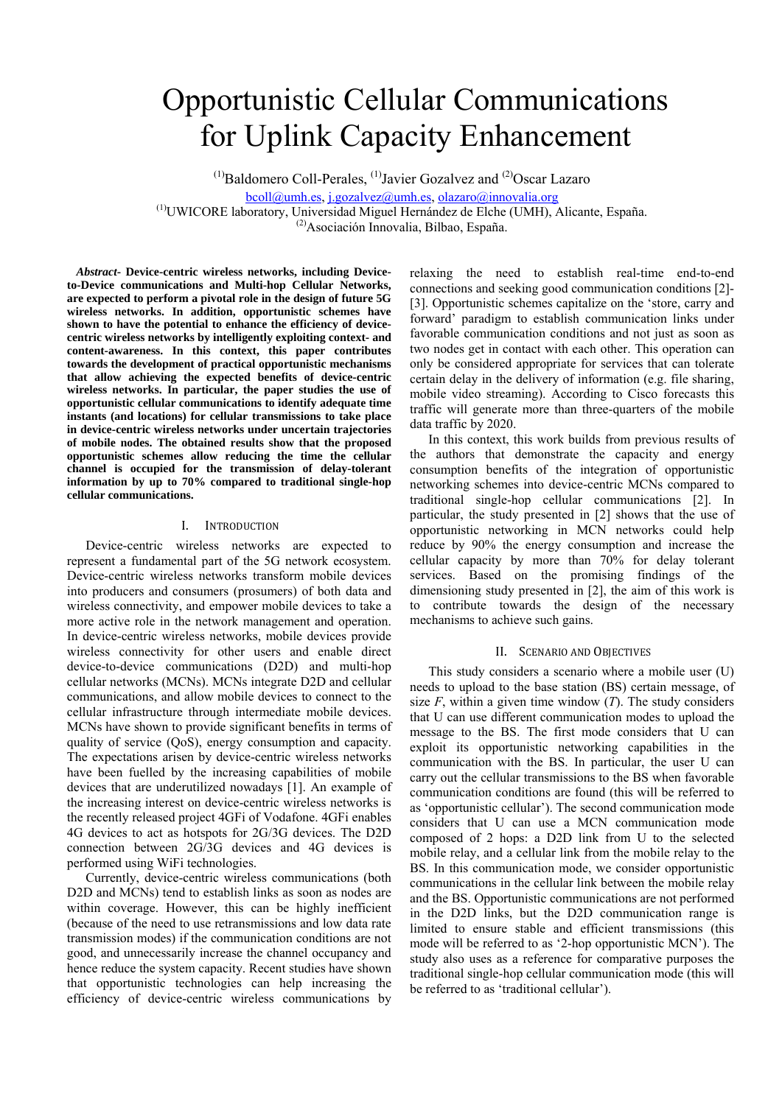# Opportunistic Cellular Communications for Uplink Capacity Enhancement

 $<sup>(1)</sup>$ Baldomero Coll-Perales,  $<sup>(1)</sup>$ Javier Gozalvez and  $<sup>(2)</sup>$ Oscar Lazaro</sup></sup></sup>

bcoll@umh.es, j.gozalvez@umh.es, olazaro@innovalia.org<br>
(1)UWICORE laboratory, Universidad Miguel Hernández de Elche (UMH), Alicante, España.

(2)Asociación Innovalia, Bilbao, España.

*Abstract***- Device-centric wireless networks, including Deviceto-Device communications and Multi-hop Cellular Networks, are expected to perform a pivotal role in the design of future 5G wireless networks. In addition, opportunistic schemes have shown to have the potential to enhance the efficiency of devicecentric wireless networks by intelligently exploiting context- and content-awareness. In this context, this paper contributes towards the development of practical opportunistic mechanisms that allow achieving the expected benefits of device-centric wireless networks. In particular, the paper studies the use of opportunistic cellular communications to identify adequate time instants (and locations) for cellular transmissions to take place in device-centric wireless networks under uncertain trajectories of mobile nodes. The obtained results show that the proposed opportunistic schemes allow reducing the time the cellular channel is occupied for the transmission of delay-tolerant information by up to 70% compared to traditional single-hop cellular communications.** 

# I. INTRODUCTION

Device-centric wireless networks are expected to represent a fundamental part of the 5G network ecosystem. Device-centric wireless networks transform mobile devices into producers and consumers (prosumers) of both data and wireless connectivity, and empower mobile devices to take a more active role in the network management and operation. In device-centric wireless networks, mobile devices provide wireless connectivity for other users and enable direct device-to-device communications (D2D) and multi-hop cellular networks (MCNs). MCNs integrate D2D and cellular communications, and allow mobile devices to connect to the cellular infrastructure through intermediate mobile devices. MCNs have shown to provide significant benefits in terms of quality of service (QoS), energy consumption and capacity. The expectations arisen by device-centric wireless networks have been fuelled by the increasing capabilities of mobile devices that are underutilized nowadays [1]. An example of the increasing interest on device-centric wireless networks is the recently released project 4GFi of Vodafone. 4GFi enables 4G devices to act as hotspots for 2G/3G devices. The D2D connection between 2G/3G devices and 4G devices is performed using WiFi technologies.

Currently, device-centric wireless communications (both D2D and MCNs) tend to establish links as soon as nodes are within coverage. However, this can be highly inefficient (because of the need to use retransmissions and low data rate transmission modes) if the communication conditions are not good, and unnecessarily increase the channel occupancy and hence reduce the system capacity. Recent studies have shown that opportunistic technologies can help increasing the efficiency of device-centric wireless communications by

relaxing the need to establish real-time end-to-end connections and seeking good communication conditions [2]- [3]. Opportunistic schemes capitalize on the 'store, carry and forward' paradigm to establish communication links under favorable communication conditions and not just as soon as two nodes get in contact with each other. This operation can only be considered appropriate for services that can tolerate certain delay in the delivery of information (e.g. file sharing, mobile video streaming). According to Cisco forecasts this traffic will generate more than three-quarters of the mobile data traffic by 2020.

In this context, this work builds from previous results of the authors that demonstrate the capacity and energy consumption benefits of the integration of opportunistic networking schemes into device-centric MCNs compared to traditional single-hop cellular communications [2]. In particular, the study presented in [2] shows that the use of opportunistic networking in MCN networks could help reduce by 90% the energy consumption and increase the cellular capacity by more than 70% for delay tolerant services. Based on the promising findings of the dimensioning study presented in [2], the aim of this work is to contribute towards the design of the necessary mechanisms to achieve such gains.

# II. SCENARIO AND OBJECTIVES

This study considers a scenario where a mobile user (U) needs to upload to the base station (BS) certain message, of size  $F$ , within a given time window  $(T)$ . The study considers that U can use different communication modes to upload the message to the BS. The first mode considers that U can exploit its opportunistic networking capabilities in the communication with the BS. In particular, the user U can carry out the cellular transmissions to the BS when favorable communication conditions are found (this will be referred to as 'opportunistic cellular'). The second communication mode considers that U can use a MCN communication mode composed of 2 hops: a D2D link from U to the selected mobile relay, and a cellular link from the mobile relay to the BS. In this communication mode, we consider opportunistic communications in the cellular link between the mobile relay and the BS. Opportunistic communications are not performed in the D2D links, but the D2D communication range is limited to ensure stable and efficient transmissions (this mode will be referred to as '2-hop opportunistic MCN'). The study also uses as a reference for comparative purposes the traditional single-hop cellular communication mode (this will be referred to as 'traditional cellular').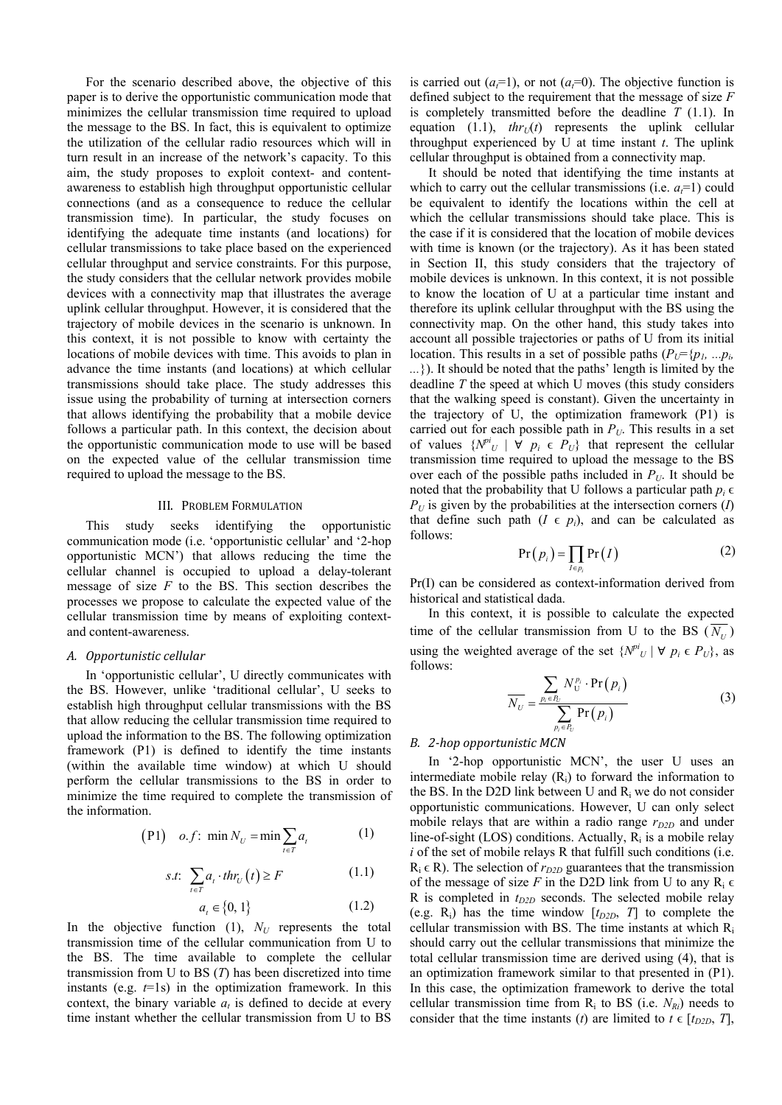For the scenario described above, the objective of this paper is to derive the opportunistic communication mode that minimizes the cellular transmission time required to upload the message to the BS. In fact, this is equivalent to optimize the utilization of the cellular radio resources which will in turn result in an increase of the network's capacity. To this aim, the study proposes to exploit context- and contentawareness to establish high throughput opportunistic cellular connections (and as a consequence to reduce the cellular transmission time). In particular, the study focuses on identifying the adequate time instants (and locations) for cellular transmissions to take place based on the experienced cellular throughput and service constraints. For this purpose, the study considers that the cellular network provides mobile devices with a connectivity map that illustrates the average uplink cellular throughput. However, it is considered that the trajectory of mobile devices in the scenario is unknown. In this context, it is not possible to know with certainty the locations of mobile devices with time. This avoids to plan in advance the time instants (and locations) at which cellular transmissions should take place. The study addresses this issue using the probability of turning at intersection corners that allows identifying the probability that a mobile device follows a particular path. In this context, the decision about the opportunistic communication mode to use will be based on the expected value of the cellular transmission time required to upload the message to the BS.

#### III. PROBLEM FORMULATION

This study seeks identifying the opportunistic communication mode (i.e. 'opportunistic cellular' and '2-hop opportunistic MCN') that allows reducing the time the cellular channel is occupied to upload a delay-tolerant message of size *F* to the BS. This section describes the processes we propose to calculate the expected value of the cellular transmission time by means of exploiting contextand content-awareness.

### *A. Opportunistic cellular*

In 'opportunistic cellular', U directly communicates with the BS. However, unlike 'traditional cellular', U seeks to establish high throughput cellular transmissions with the BS that allow reducing the cellular transmission time required to upload the information to the BS. The following optimization framework (P1) is defined to identify the time instants (within the available time window) at which U should perform the cellular transmissions to the BS in order to minimize the time required to complete the transmission of the information.

$$
(P1) \quad o.f: \ \min N_U = \min \sum_{t \in T} a_t \tag{1}
$$

$$
s.t. \sum_{t \in T} a_t \cdot thr_U(t) \ge F \tag{1.1}
$$

$$
a_t \in \{0, 1\} \tag{1.2}
$$

In the objective function  $(1)$ ,  $N_U$  represents the total transmission time of the cellular communication from U to the BS. The time available to complete the cellular transmission from U to BS (*T*) has been discretized into time instants (e.g. *t*=1s) in the optimization framework. In this context, the binary variable  $a_t$  is defined to decide at every time instant whether the cellular transmission from U to BS is carried out  $(a_i=1)$ , or not  $(a_i=0)$ . The objective function is defined subject to the requirement that the message of size *F* is completely transmitted before the deadline *T* (1.1). In equation (1.1),  $thr<sub>U</sub>(t)$  represents the uplink cellular throughput experienced by U at time instant *t*. The uplink cellular throughput is obtained from a connectivity map.

It should be noted that identifying the time instants at which to carry out the cellular transmissions (i.e.  $a=1$ ) could be equivalent to identify the locations within the cell at which the cellular transmissions should take place. This is the case if it is considered that the location of mobile devices with time is known (or the trajectory). As it has been stated in Section II, this study considers that the trajectory of mobile devices is unknown. In this context, it is not possible to know the location of U at a particular time instant and therefore its uplink cellular throughput with the BS using the connectivity map. On the other hand, this study takes into account all possible trajectories or paths of U from its initial location. This results in a set of possible paths  $(P_U = \{p_1, \ldots, p_i\})$ *...*}). It should be noted that the paths' length is limited by the deadline *T* the speed at which U moves (this study considers that the walking speed is constant). Given the uncertainty in the trajectory of U, the optimization framework (P1) is carried out for each possible path in  $P_U$ . This results in a set of values  $\{N^{pi}_{U} | \forall p_i \in P_U\}$  that represent the cellular transmission time required to upload the message to the BS over each of the possible paths included in  $P_U$ . It should be noted that the probability that U follows a particular path  $p_i \in$  $P_U$  is given by the probabilities at the intersection corners (*I*) that define such path  $(I \in p_i)$ , and can be calculated as follows:

$$
Pr(p_i) = \prod_{I \in p_i} Pr(I)
$$
 (2)

Pr(I) can be considered as context-information derived from historical and statistical dada.

In this context, it is possible to calculate the expected time of the cellular transmission from U to the BS  $(\overline{N_{U}})$ using the weighted average of the set  $\{N^{pi}U \mid \forall p_i \in P_U\}$ , as follows:

$$
\overline{N_U} = \frac{\sum_{p_i \in P_U} N_U^{p_i} \cdot \Pr(p_i)}{\sum_{p_i \in P_U} \Pr(p_i)} \tag{3}
$$

#### *B. 2‐hop opportunistic MCN*

In '2-hop opportunistic MCN', the user U uses an intermediate mobile relay  $(R<sub>i</sub>)$  to forward the information to the BS. In the D2D link between U and Ri we do not consider opportunistic communications. However, U can only select mobile relays that are within a radio range  $r_{D2D}$  and under line-of-sight (LOS) conditions. Actually,  $R_i$  is a mobile relay *i* of the set of mobile relays R that fulfill such conditions (i.e.  $R_i \in R$ ). The selection of  $r_{D2D}$  guarantees that the transmission of the message of size *F* in the D2D link from U to any  $R_i \in$ R is completed in  $t_{D2D}$  seconds. The selected mobile relay (e.g.  $R_i$ ) has the time window  $[t_{D2D}, T]$  to complete the cellular transmission with BS. The time instants at which Ri should carry out the cellular transmissions that minimize the total cellular transmission time are derived using (4), that is an optimization framework similar to that presented in (P1). In this case, the optimization framework to derive the total cellular transmission time from  $R_i$  to BS (i.e.  $N_{Ri}$ ) needs to consider that the time instants (*t*) are limited to  $t \in [t_{D2D}, T]$ ,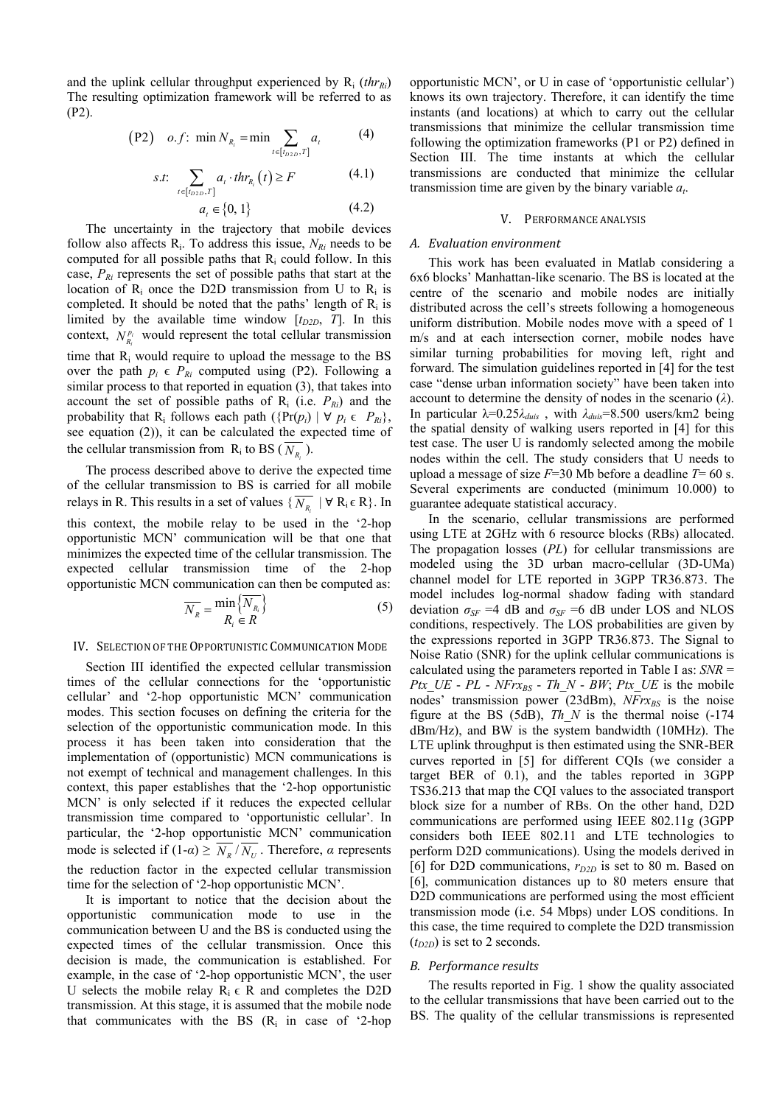and the uplink cellular throughput experienced by  $R_i$  (*thr<sub>Ri</sub>*) The resulting optimization framework will be referred to as (P2).

$$
(P2) \quad o.f: \ \min N_{R_i} = \min \sum_{t \in [t_{02D}, T]} a_t \tag{4}
$$

$$
s.t: \sum_{t \in [t_{D2D}, T]} a_t \cdot thr_{R_i}(t) \ge F \tag{4.1}
$$

$$
a_t \in \{0, 1\} \tag{4.2}
$$

The uncertainty in the trajectory that mobile devices follow also affects  $R_i$ . To address this issue,  $N_{Ri}$  needs to be computed for all possible paths that  $R_i$  could follow. In this case, *PRi* represents the set of possible paths that start at the location of  $R_i$  once the D2D transmission from U to  $R_i$  is completed. It should be noted that the paths' length of  $R_i$  is limited by the available time window  $[t_{D2D}, T]$ . In this context,  $N_{R_i}^{p_i}$  would represent the total cellular transmission time that Ri would require to upload the message to the BS over the path  $p_i \in P_{R_i}$  computed using (P2). Following a similar process to that reported in equation (3), that takes into account the set of possible paths of  $R_i$  (i.e.  $P_{Ri}$ ) and the probability that R<sub>i</sub> follows each path  $(\{Pr(p_i) | \forall p_i \in P_{R_i}\},\)$ see equation (2)), it can be calculated the expected time of the cellular transmission from  $R_i$  to BS ( $\overline{N_R}$ ).

The process described above to derive the expected time of the cellular transmission to BS is carried for all mobile relays in R. This results in a set of values  $\{\overline{N_{R_i}} \mid \forall R_i \in R\}$ . In this context, the mobile relay to be used in the '2-hop opportunistic MCN' communication will be that one that minimizes the expected time of the cellular transmission. The expected cellular transmission time of the 2-hop opportunistic MCN communication can then be computed as:

$$
\overline{N_R} = \frac{\min\left\{ \overline{N_{R_i}} \right\}}{R_i \in R}
$$
\n(5)

# IV. SELECTION OF THE OPPORTUNISTIC COMMUNICATION MODE

Section III identified the expected cellular transmission times of the cellular connections for the 'opportunistic cellular' and '2-hop opportunistic MCN' communication modes. This section focuses on defining the criteria for the selection of the opportunistic communication mode. In this process it has been taken into consideration that the implementation of (opportunistic) MCN communications is not exempt of technical and management challenges. In this context, this paper establishes that the '2-hop opportunistic MCN' is only selected if it reduces the expected cellular transmission time compared to 'opportunistic cellular'. In particular, the '2-hop opportunistic MCN' communication mode is selected if  $(1-\alpha) \ge \overline{N_R}/\overline{N_U}$ . Therefore,  $\alpha$  represents the reduction factor in the expected cellular transmission time for the selection of '2-hop opportunistic MCN'.

It is important to notice that the decision about the opportunistic communication mode to use in the communication between U and the BS is conducted using the expected times of the cellular transmission. Once this decision is made, the communication is established. For example, in the case of '2-hop opportunistic MCN', the user U selects the mobile relay  $R_i \in R$  and completes the D2D transmission. At this stage, it is assumed that the mobile node that communicates with the BS  $(R<sub>i</sub>$  in case of '2-hop

opportunistic MCN', or U in case of 'opportunistic cellular') knows its own trajectory. Therefore, it can identify the time instants (and locations) at which to carry out the cellular transmissions that minimize the cellular transmission time following the optimization frameworks (P1 or P2) defined in Section III. The time instants at which the cellular transmissions are conducted that minimize the cellular transmission time are given by the binary variable *at*.

#### V. PERFORMANCE ANALYSIS

## *A. Evaluation environment*

This work has been evaluated in Matlab considering a 6x6 blocks' Manhattan-like scenario. The BS is located at the centre of the scenario and mobile nodes are initially distributed across the cell's streets following a homogeneous uniform distribution. Mobile nodes move with a speed of 1 m/s and at each intersection corner, mobile nodes have similar turning probabilities for moving left, right and forward. The simulation guidelines reported in [4] for the test case "dense urban information society" have been taken into account to determine the density of nodes in the scenario (*λ*). In particular λ=0.25*λduis* , with *λduis*=8.500 users/km2 being the spatial density of walking users reported in [4] for this test case. The user U is randomly selected among the mobile nodes within the cell. The study considers that U needs to upload a message of size *F*=30 Mb before a deadline *T*= 60 s. Several experiments are conducted (minimum 10.000) to guarantee adequate statistical accuracy.

In the scenario, cellular transmissions are performed using LTE at 2GHz with 6 resource blocks (RBs) allocated. The propagation losses (*PL*) for cellular transmissions are modeled using the 3D urban macro-cellular (3D-UMa) channel model for LTE reported in 3GPP TR36.873. The model includes log-normal shadow fading with standard deviation  $\sigma_{SF}$  =4 dB and  $\sigma_{SF}$  =6 dB under LOS and NLOS conditions, respectively. The LOS probabilities are given by the expressions reported in 3GPP TR36.873. The Signal to Noise Ratio (SNR) for the uplink cellular communications is calculated using the parameters reported in Table I as: *SNR* = *Ptx\_UE* - *PL* -  $N F r x_{BS}$  -  $Th_N - BW$ ;  $P t x_U E$  is the mobile nodes' transmission power (23dBm),  $N\bar{F}rx_{BS}$  is the noise figure at the BS (5dB), *Th\_N* is the thermal noise (-174 dBm/Hz), and BW is the system bandwidth (10MHz). The LTE uplink throughput is then estimated using the SNR-BER curves reported in [5] for different CQIs (we consider a target BER of 0.1), and the tables reported in 3GPP TS36.213 that map the CQI values to the associated transport block size for a number of RBs. On the other hand, D2D communications are performed using IEEE 802.11g (3GPP considers both IEEE 802.11 and LTE technologies to perform D2D communications). Using the models derived in [6] for D2D communications,  $r_{D2D}$  is set to 80 m. Based on [6], communication distances up to 80 meters ensure that D2D communications are performed using the most efficient transmission mode (i.e. 54 Mbps) under LOS conditions. In this case, the time required to complete the D2D transmission  $(t_{D2D})$  is set to 2 seconds.

#### *B. Performance results*

The results reported in Fig. 1 show the quality associated to the cellular transmissions that have been carried out to the BS. The quality of the cellular transmissions is represented